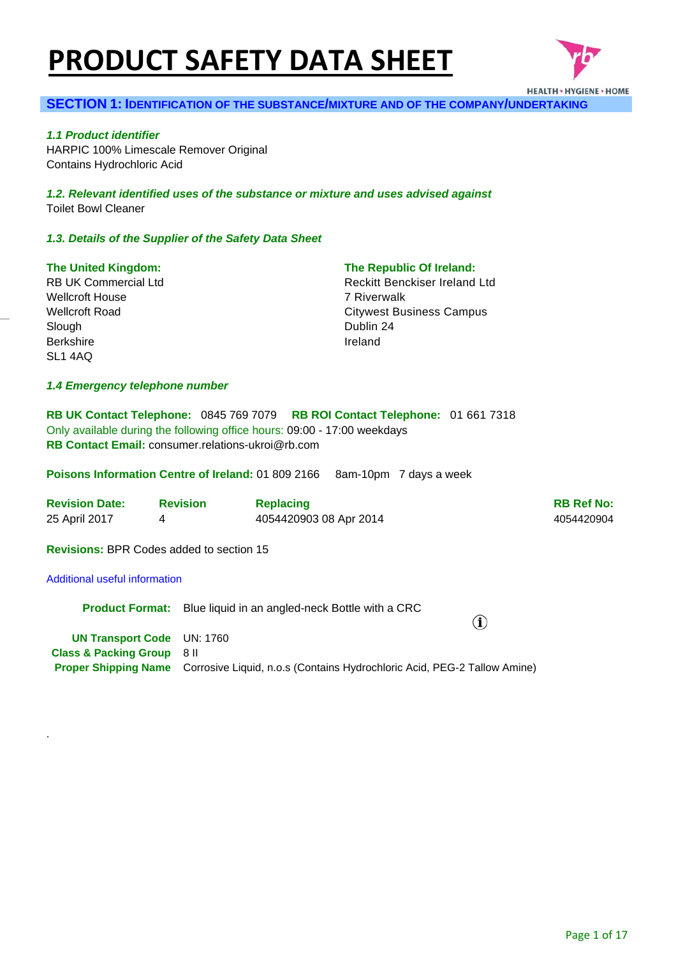# **PRODUCT SAFETY DATA SHEET**



# **SECTION 1: IDENTIFICATION OF THE SUBSTANCE/MIXTURE AND OF THE COMPANY/UNDERTAKING**

*1.1 Product identifier*  HARPIC 100% Limescale Remover Original Contains Hydrochloric Acid

*1.2. Relevant identified uses of the substance or mixture and uses advised against* Toilet Bowl Cleaner

#### *1.3. Details of the Supplier of the Safety Data Sheet*

#### **The United Kingdom:**

RB UK Commercial Ltd Wellcroft House Wellcroft Road Slough Berkshire SL1 4AQ

#### **The Republic Of Ireland:**

Reckitt Benckiser Ireland Ltd 7 Riverwalk Citywest Business Campus Dublin 24 Ireland

#### *1.4 Emergency telephone number*

**RB UK Contact Telephone:** 0845 769 7079 **RB ROI Contact Telephone:** 01 661 7318 Only available during the following office hours: 09:00 - 17:00 weekdays **RB Contact Email:** consumer.relations-ukroi@rb.com

**Poisons Information Centre of Ireland:** 01 809 2166 8am-10pm 7 days a week

| <b>Revision Date:</b> | <b>Revision</b> | <b>Replacing</b>       | <b>RB Ref No:</b> |
|-----------------------|-----------------|------------------------|-------------------|
| 25 April 2017         |                 | 4054420903 08 Apr 2014 | 4054420904        |

**Revisions:** BPR Codes added to section 15

### Additional useful information

.

|                                       | <b>Product Format:</b> Blue liquid in an angled-neck Bottle with a CRC<br>$\bf{(\hat{i})}$           |
|---------------------------------------|------------------------------------------------------------------------------------------------------|
| <b>UN Transport Code</b> UN: 1760     |                                                                                                      |
| <b>Class &amp; Packing Group</b> 8 II |                                                                                                      |
|                                       | <b>Proper Shipping Name</b> Corrosive Liquid, n.o.s (Contains Hydrochloric Acid, PEG-2 Tallow Amine) |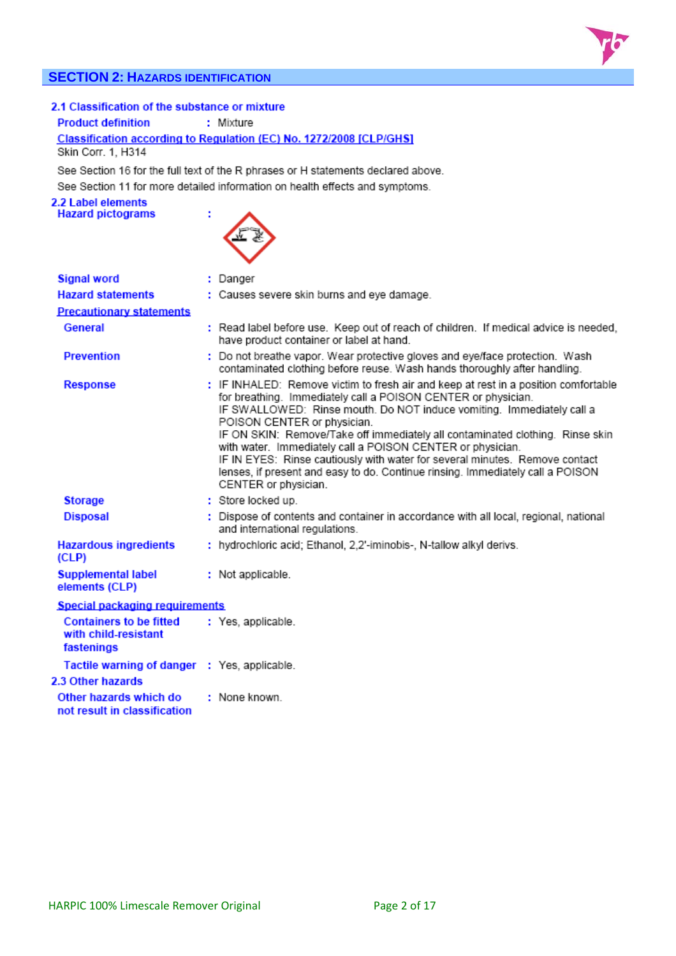# **SECTION 2: HAZARDS IDENTIFICATION**



## 2.1 Classification of the substance or mixture

**Product definition** 

Classification according to Regulation (EC) No. 1272/2008 [CLP/GHS] Skin Corr. 1, H314

: Mixture

See Section 16 for the full text of the R phrases or H statements declared above. See Section 11 for more detailed information on health effects and symptoms.

2.2 Label elements **Hazard pictograms** 



| <b>Signal word</b>                                                   | : Danger                                                                                                                                                                                                                                                                                                                                                                                                                                                                                                                                                                                             |
|----------------------------------------------------------------------|------------------------------------------------------------------------------------------------------------------------------------------------------------------------------------------------------------------------------------------------------------------------------------------------------------------------------------------------------------------------------------------------------------------------------------------------------------------------------------------------------------------------------------------------------------------------------------------------------|
| <b>Hazard statements</b>                                             | : Causes severe skin burns and eye damage.                                                                                                                                                                                                                                                                                                                                                                                                                                                                                                                                                           |
| <b>Precautionary statements</b>                                      |                                                                                                                                                                                                                                                                                                                                                                                                                                                                                                                                                                                                      |
| General                                                              | : Read label before use. Keep out of reach of children. If medical advice is needed,<br>have product container or label at hand.                                                                                                                                                                                                                                                                                                                                                                                                                                                                     |
| <b>Prevention</b>                                                    | : Do not breathe vapor. Wear protective gloves and eye/face protection. Wash<br>contaminated clothing before reuse. Wash hands thoroughly after handling.                                                                                                                                                                                                                                                                                                                                                                                                                                            |
| <b>Response</b>                                                      | : IF INHALED: Remove victim to fresh air and keep at rest in a position comfortable<br>for breathing. Immediately call a POISON CENTER or physician.<br>IF SWALLOWED: Rinse mouth. Do NOT induce vomiting. Immediately call a<br>POISON CENTER or physician.<br>IF ON SKIN: Remove/Take off immediately all contaminated clothing. Rinse skin<br>with water. Immediately call a POISON CENTER or physician.<br>IF IN EYES: Rinse cautiously with water for several minutes. Remove contact<br>lenses, if present and easy to do. Continue rinsing. Immediately call a POISON<br>CENTER or physician. |
| <b>Storage</b>                                                       | : Store locked up.                                                                                                                                                                                                                                                                                                                                                                                                                                                                                                                                                                                   |
| <b>Disposal</b>                                                      | : Dispose of contents and container in accordance with all local, regional, national<br>and international regulations.                                                                                                                                                                                                                                                                                                                                                                                                                                                                               |
| <b>Hazardous ingredients</b><br>(CLP)                                | : hydrochloric acid; Ethanol, 2,2'-iminobis-, N-tallow alkyl derivs.                                                                                                                                                                                                                                                                                                                                                                                                                                                                                                                                 |
| <b>Supplemental label</b><br>elements (CLP)                          | : Not applicable.                                                                                                                                                                                                                                                                                                                                                                                                                                                                                                                                                                                    |
| Special packaging requirements                                       |                                                                                                                                                                                                                                                                                                                                                                                                                                                                                                                                                                                                      |
| <b>Containers to be fitted</b><br>with child-resistant<br>fastenings | : Yes, applicable.                                                                                                                                                                                                                                                                                                                                                                                                                                                                                                                                                                                   |
| Tactile warning of danger : Yes, applicable.                         |                                                                                                                                                                                                                                                                                                                                                                                                                                                                                                                                                                                                      |
| 2.3 Other hazards                                                    |                                                                                                                                                                                                                                                                                                                                                                                                                                                                                                                                                                                                      |
| Other hazards which do<br>not result in classification               | : None known.                                                                                                                                                                                                                                                                                                                                                                                                                                                                                                                                                                                        |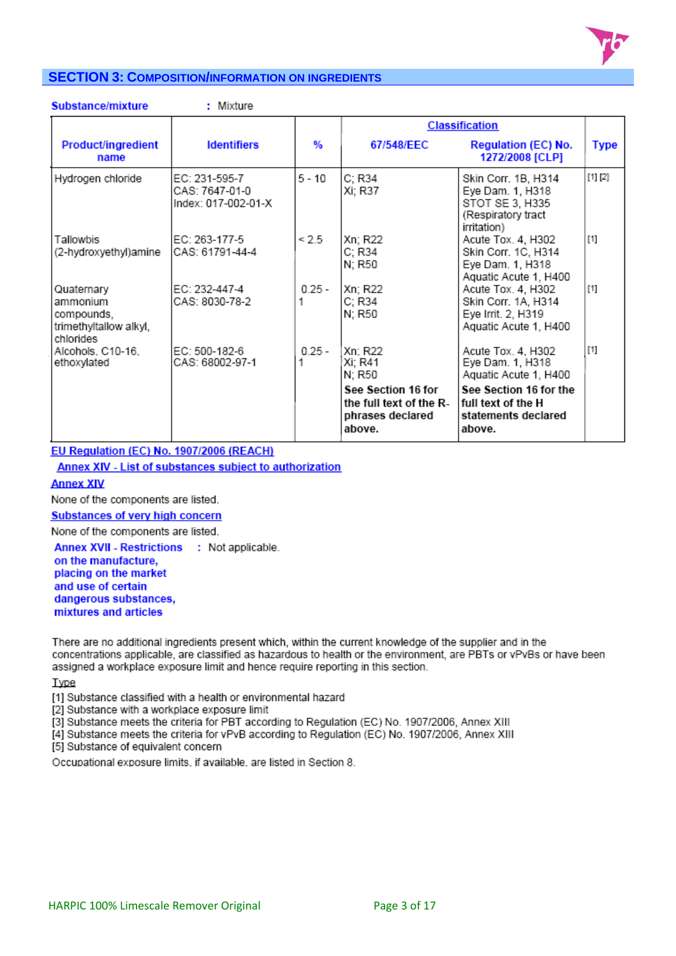

# **SECTION 3: COMPOSITION/INFORMATION ON INGREDIENTS**

|  |  | <b>Substance/mixture</b> |  |
|--|--|--------------------------|--|

: Mixture

|                                                                             |                                                        |          |                                                                                                             | <b>Classification</b>                                                                                                                            |             |
|-----------------------------------------------------------------------------|--------------------------------------------------------|----------|-------------------------------------------------------------------------------------------------------------|--------------------------------------------------------------------------------------------------------------------------------------------------|-------------|
| Product/ingredient<br>name                                                  | <b>Identifiers</b>                                     | %        | 67/548/EEC                                                                                                  | <b>Regulation (EC) No.</b><br>1272/2008 [CLP]                                                                                                    | <b>Type</b> |
| Hydrogen chloride                                                           | EC: 231-595-7<br>CAS: 7647-01-0<br>Index: 017-002-01-X | 5 - 10   | C: R34<br>Xi; R37                                                                                           | Skin Corr. 1B, H314<br>Eye Dam. 1, H318<br>STOT SE 3, H335<br>(Respiratory tract<br>irritation)                                                  | [1] [2]     |
| Tallowbis<br>(2-hydroxyethyl)amine                                          | EC: 263-177-5<br>ICAS: 61791-44-4                      | < 2.5    | Xn; R22<br>C; R34<br>N; R50                                                                                 | Acute Tox. 4, H302<br>Skin Corr. 1C, H314<br>Eye Dam. 1, H318<br>Aquatic Acute 1, H400                                                           | $[1]$       |
| Quaternary<br>ammonium<br>compounds,<br>trimethyltallow alkyl,<br>chlorides | EC: 232-447-4<br>CAS: 8030-78-2                        | $0.25 -$ | Xn; R22<br>C; R34<br>N: R50                                                                                 | Acute Tox. 4, H302<br>Skin Corr. 1A, H314<br>Eye Irrit. 2, H319<br>Aquatic Acute 1, H400                                                         | $[1]$       |
| Alcohols, C10-16,<br>ethoxylated                                            | EC: 500-182-6<br>CAS: 68002-97-1                       | $0.25 -$ | Xn: R22<br>Xi: R41<br>N: R50<br>See Section 16 for<br>the full text of the R-<br>phrases declared<br>above. | Acute Tox, 4, H302<br>Eye Dam. 1, H318<br>Aquatic Acute 1, H400<br>See Section 16 for the<br>full text of the H<br>statements declared<br>above. | $[1]$       |

# EU Regulation (EC) No. 1907/2006 (REACH)

Annex XIV - List of substances subject to authorization

# **Annex XIV**

None of the components are listed.

**Substances of very high concern** 

None of the components are listed.

Annex XVII - Restrictions : Not applicable. on the manufacture. placing on the market and use of certain dangerous substances, mixtures and articles

There are no additional ingredients present which, within the current knowledge of the supplier and in the concentrations applicable, are classified as hazardous to health or the environment, are PBTs or vPvBs or have been assigned a workplace exposure limit and hence require reporting in this section.

Type

[1] Substance classified with a health or environmental hazard

[2] Substance with a workplace exposure limit

[3] Substance meets the criteria for PBT according to Regulation (EC) No. 1907/2006, Annex XIII

[4] Substance meets the criteria for vPvB according to Regulation (EC) No. 1907/2006, Annex XIII

[5] Substance of equivalent concern

Occupational exposure limits, if available, are listed in Section 8.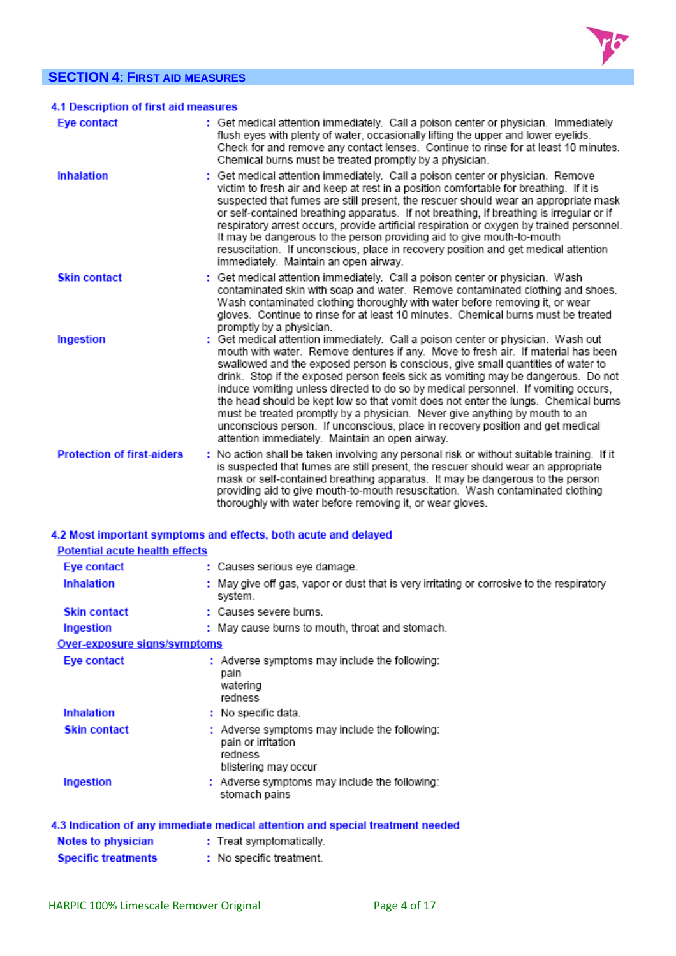# **SECTION 4: FIRST AID MEASURES**



| 4.1 Description of first aid measures |                                                                                                                                                                                                                                                                                                                                                                                                                                                                                                                                                                                                                                                                                                                                                |
|---------------------------------------|------------------------------------------------------------------------------------------------------------------------------------------------------------------------------------------------------------------------------------------------------------------------------------------------------------------------------------------------------------------------------------------------------------------------------------------------------------------------------------------------------------------------------------------------------------------------------------------------------------------------------------------------------------------------------------------------------------------------------------------------|
| Eye contact                           | : Get medical attention immediately. Call a poison center or physician. Immediately<br>flush eyes with plenty of water, occasionally lifting the upper and lower eyelids.<br>Check for and remove any contact lenses. Continue to rinse for at least 10 minutes.<br>Chemical burns must be treated promptly by a physician.                                                                                                                                                                                                                                                                                                                                                                                                                    |
| <b>Inhalation</b>                     | : Get medical attention immediately. Call a poison center or physician. Remove<br>victim to fresh air and keep at rest in a position comfortable for breathing. If it is<br>suspected that fumes are still present, the rescuer should wear an appropriate mask<br>or self-contained breathing apparatus. If not breathing, if breathing is irregular or if<br>respiratory arrest occurs, provide artificial respiration or oxygen by trained personnel.<br>It may be dangerous to the person providing aid to give mouth-to-mouth<br>resuscitation. If unconscious, place in recovery position and get medical attention<br>immediately. Maintain an open airway.                                                                             |
| <b>Skin contact</b>                   | : Get medical attention immediately. Call a poison center or physician. Wash<br>contaminated skin with soap and water. Remove contaminated clothing and shoes.<br>Wash contaminated clothing thoroughly with water before removing it, or wear<br>gloves. Continue to rinse for at least 10 minutes. Chemical burns must be treated<br>promptly by a physician.                                                                                                                                                                                                                                                                                                                                                                                |
| Ingestion                             | : Get medical attention immediately. Call a poison center or physician. Wash out<br>mouth with water. Remove dentures if any. Move to fresh air. If material has been<br>swallowed and the exposed person is conscious, give small quantities of water to<br>drink. Stop if the exposed person feels sick as vomiting may be dangerous. Do not<br>induce vomiting unless directed to do so by medical personnel. If vomiting occurs,<br>the head should be kept low so that vomit does not enter the lungs. Chemical burns<br>must be treated promptly by a physician. Never give anything by mouth to an<br>unconscious person. If unconscious, place in recovery position and get medical<br>attention immediately. Maintain an open airway. |
| <b>Protection of first-aiders</b>     | : No action shall be taken involving any personal risk or without suitable training. If it<br>is suspected that fumes are still present, the rescuer should wear an appropriate<br>mask or self-contained breathing apparatus. It may be dangerous to the person<br>providing aid to give mouth-to-mouth resuscitation. Wash contaminated clothing<br>thoroughly with water before removing it, or wear gloves.                                                                                                                                                                                                                                                                                                                                |

# 4.2 Most important symptoms and effects, both acute and delayed

| <b>Potential acute health effects</b> |                                                                                                        |
|---------------------------------------|--------------------------------------------------------------------------------------------------------|
| Eye contact                           | : Causes serious eye damage.                                                                           |
| <b>Inhalation</b>                     | : May give off gas, vapor or dust that is very irritating or corrosive to the respiratory<br>system.   |
| <b>Skin contact</b>                   | : Causes severe burns.                                                                                 |
| Ingestion                             | : May cause burns to mouth, throat and stomach.                                                        |
| Over-exposure signs/symptoms          |                                                                                                        |
| Eye contact                           | : Adverse symptoms may include the following:<br>pain<br>watering<br>redness                           |
| <b>Inhalation</b>                     | $:$ No specific data.                                                                                  |
| <b>Skin contact</b>                   | : Adverse symptoms may include the following:<br>pain or irritation<br>redness<br>blistering may occur |
| Ingestion                             | : Adverse symptoms may include the following:<br>stomach pains                                         |
|                                       | 4.3 Indication of any immediate medical attention and special treatment needed                         |
| <b>Notes to physician</b>             | : Treat symptomatically.                                                                               |
| <b>Specific treatments</b>            | : No specific treatment.                                                                               |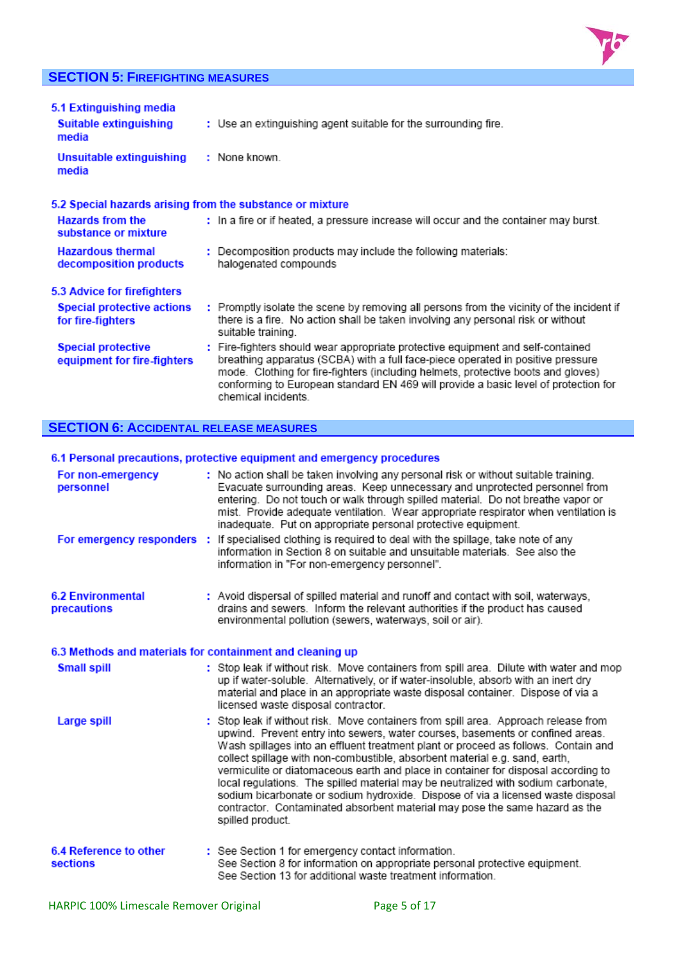# **SECTION 5: FIREFIGHTING MEASURES**



| 5.1 Extinguishing media<br>Suitable extinguishing<br>media | : Use an extinguishing agent suitable for the surrounding fire.                                                                                                                                                                                                                                                                                                       |
|------------------------------------------------------------|-----------------------------------------------------------------------------------------------------------------------------------------------------------------------------------------------------------------------------------------------------------------------------------------------------------------------------------------------------------------------|
| Unsuitable extinguishing<br>media                          | : None known.                                                                                                                                                                                                                                                                                                                                                         |
| 5.2 Special hazards arising from the substance or mixture  |                                                                                                                                                                                                                                                                                                                                                                       |
| <b>Hazards from the</b><br>substance or mixture            | : In a fire or if heated, a pressure increase will occur and the container may burst.                                                                                                                                                                                                                                                                                 |
| <b>Hazardous thermal</b><br>decomposition products         | : Decomposition products may include the following materials:<br>halogenated compounds                                                                                                                                                                                                                                                                                |
| 5.3 Advice for firefighters                                |                                                                                                                                                                                                                                                                                                                                                                       |
| <b>Special protective actions</b><br>for fire-fighters     | : Promptly isolate the scene by removing all persons from the vicinity of the incident if<br>there is a fire. No action shall be taken involving any personal risk or without<br>suitable training.                                                                                                                                                                   |
| <b>Special protective</b><br>equipment for fire-fighters   | : Fire-fighters should wear appropriate protective equipment and self-contained<br>breathing apparatus (SCBA) with a full face-piece operated in positive pressure<br>mode. Clothing for fire-fighters (including helmets, protective boots and gloves)<br>conforming to European standard EN 469 will provide a basic level of protection for<br>chemical incidents. |

# **SECTION 6: ACCIDENTAL RELEASE MEASURES**

# 6.1 Personal precautions, protective equipment and emergency procedures

| For non-emergency<br>personnel                            | : No action shall be taken involving any personal risk or without suitable training.<br>Evacuate surrounding areas. Keep unnecessary and unprotected personnel from<br>entering. Do not touch or walk through spilled material. Do not breathe vapor or<br>mist. Provide adequate ventilation. Wear appropriate respirator when ventilation is<br>inadequate. Put on appropriate personal protective equipment.                                                                                                                                                                                                                                                                                              |
|-----------------------------------------------------------|--------------------------------------------------------------------------------------------------------------------------------------------------------------------------------------------------------------------------------------------------------------------------------------------------------------------------------------------------------------------------------------------------------------------------------------------------------------------------------------------------------------------------------------------------------------------------------------------------------------------------------------------------------------------------------------------------------------|
| For emergency responders :                                | If specialised clothing is required to deal with the spillage, take note of any<br>information in Section 8 on suitable and unsuitable materials. See also the<br>information in "For non-emergency personnel".                                                                                                                                                                                                                                                                                                                                                                                                                                                                                              |
| <b>6.2 Environmental</b><br>precautions                   | : Avoid dispersal of spilled material and runoff and contact with soil, waterways,<br>drains and sewers. Inform the relevant authorities if the product has caused<br>environmental pollution (sewers, waterways, soil or air).                                                                                                                                                                                                                                                                                                                                                                                                                                                                              |
| 6.3 Methods and materials for containment and cleaning up |                                                                                                                                                                                                                                                                                                                                                                                                                                                                                                                                                                                                                                                                                                              |
| <b>Small spill</b>                                        | : Stop leak if without risk. Move containers from spill area. Dilute with water and mop<br>up if water-soluble. Alternatively, or if water-insoluble, absorb with an inert dry<br>material and place in an appropriate waste disposal container. Dispose of via a<br>licensed waste disposal contractor.                                                                                                                                                                                                                                                                                                                                                                                                     |
| Large spill                                               | : Stop leak if without risk. Move containers from spill area. Approach release from<br>upwind. Prevent entry into sewers, water courses, basements or confined areas.<br>Wash spillages into an effluent treatment plant or proceed as follows. Contain and<br>collect spillage with non-combustible, absorbent material e.g. sand, earth,<br>vermiculite or diatomaceous earth and place in container for disposal according to<br>local regulations. The spilled material may be neutralized with sodium carbonate,<br>sodium bicarbonate or sodium hydroxide. Dispose of via a licensed waste disposal<br>contractor. Contaminated absorbent material may pose the same hazard as the<br>spilled product. |
| 6.4 Reference to other<br>sections                        | : See Section 1 for emergency contact information.<br>See Section 8 for information on appropriate personal protective equipment.<br>See Section 13 for additional waste treatment information.                                                                                                                                                                                                                                                                                                                                                                                                                                                                                                              |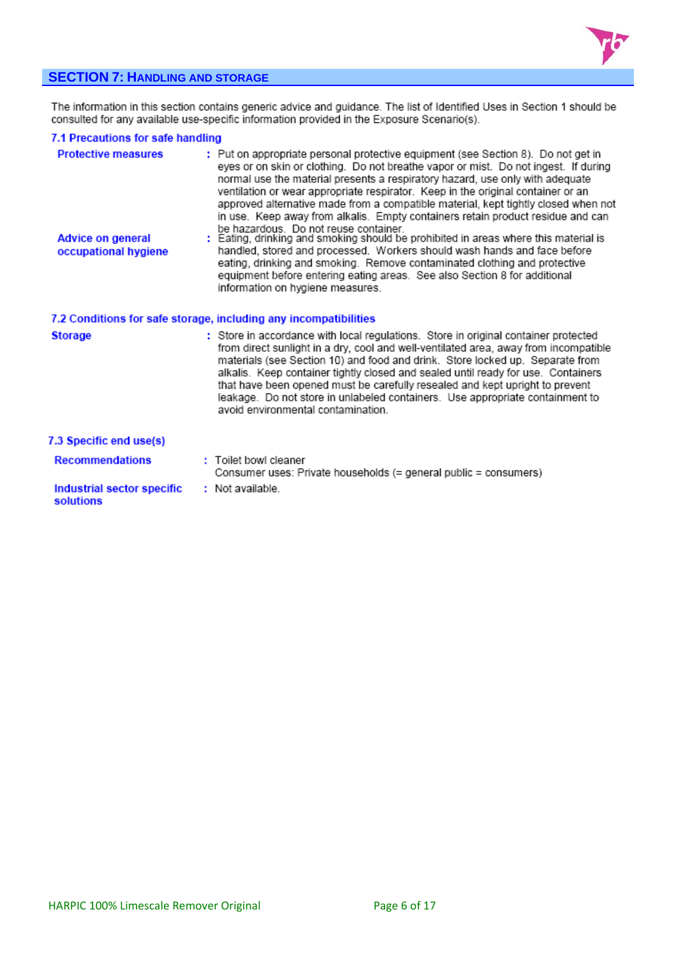

# **SECTION 7: HANDLING AND STORAGE**

The information in this section contains generic advice and guidance. The list of Identified Uses in Section 1 should be<br>consulted for any available use-specific information provided in the Exposure Scenario(s).

# 7.1 Precautions for safe handling

| <b>Protective measures</b><br><b>Advice on general</b><br>occupational hygiene | : Put on appropriate personal protective equipment (see Section 8). Do not get in<br>eyes or on skin or clothing. Do not breathe vapor or mist. Do not ingest. If during<br>normal use the material presents a respiratory hazard, use only with adequate<br>ventilation or wear appropriate respirator. Keep in the original container or an<br>approved alternative made from a compatible material, kept tightly closed when not<br>in use. Keep away from alkalis. Empty containers retain product residue and can<br>be hazardous. Do not reuse container.<br>: Eating, drinking and smoking should be prohibited in areas where this material is<br>handled, stored and processed. Workers should wash hands and face before<br>eating, drinking and smoking. Remove contaminated clothing and protective<br>equipment before entering eating areas. See also Section 8 for additional<br>information on hygiene measures. |
|--------------------------------------------------------------------------------|----------------------------------------------------------------------------------------------------------------------------------------------------------------------------------------------------------------------------------------------------------------------------------------------------------------------------------------------------------------------------------------------------------------------------------------------------------------------------------------------------------------------------------------------------------------------------------------------------------------------------------------------------------------------------------------------------------------------------------------------------------------------------------------------------------------------------------------------------------------------------------------------------------------------------------|
|                                                                                | 7.2 Conditions for safe storage, including any incompatibilities                                                                                                                                                                                                                                                                                                                                                                                                                                                                                                                                                                                                                                                                                                                                                                                                                                                                 |
| <b>Storage</b>                                                                 | : Store in accordance with local regulations. Store in original container protected<br>from direct sunlight in a dry, cool and well-ventilated area, away from incompatible<br>materials (see Section 10) and food and drink. Store locked up. Separate from<br>alkalis. Keep container tightly closed and sealed until ready for use. Containers<br>that have been opened must be carefully resealed and kept upright to prevent<br>leakage. Do not store in unlabeled containers. Use appropriate containment to<br>avoid environmental contamination.                                                                                                                                                                                                                                                                                                                                                                         |
| 7.3 Specific end use(s)                                                        |                                                                                                                                                                                                                                                                                                                                                                                                                                                                                                                                                                                                                                                                                                                                                                                                                                                                                                                                  |
| <b>Recommendations</b>                                                         | : Toilet bowl cleaner<br>Consumer uses: Private households (= general public = consumers)                                                                                                                                                                                                                                                                                                                                                                                                                                                                                                                                                                                                                                                                                                                                                                                                                                        |
| Industrial sector specific<br>solutions                                        | : Not available.                                                                                                                                                                                                                                                                                                                                                                                                                                                                                                                                                                                                                                                                                                                                                                                                                                                                                                                 |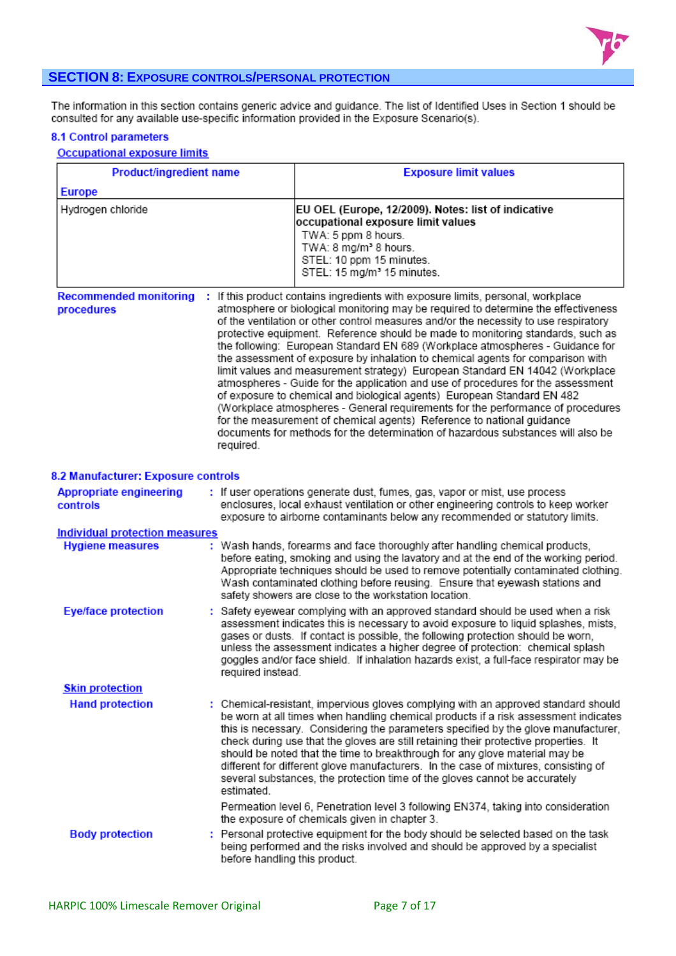

# **SECTION 8: EXPOSURE CONTROLS/PERSONAL PROTECTION**

The information in this section contains generic advice and guidance. The list of Identified Uses in Section 1 should be<br>consulted for any available use-specific information provided in the Exposure Scenario(s).

# **8.1 Control parameters**

# **Occupational exposure limits**

| Product/ingredient name                     |                               | <b>Exposure limit values</b>                                                                                                                                                                                                                                                                                                                                                                                                                                                                                                                                                                                                                                                                                                                                                                                                                                                                                                                                                                                          |
|---------------------------------------------|-------------------------------|-----------------------------------------------------------------------------------------------------------------------------------------------------------------------------------------------------------------------------------------------------------------------------------------------------------------------------------------------------------------------------------------------------------------------------------------------------------------------------------------------------------------------------------------------------------------------------------------------------------------------------------------------------------------------------------------------------------------------------------------------------------------------------------------------------------------------------------------------------------------------------------------------------------------------------------------------------------------------------------------------------------------------|
| <b>Europe</b>                               |                               |                                                                                                                                                                                                                                                                                                                                                                                                                                                                                                                                                                                                                                                                                                                                                                                                                                                                                                                                                                                                                       |
| Hydrogen chloride                           |                               | EU OEL (Europe, 12/2009). Notes: list of indicative<br>occupational exposure limit values<br>TWA: 5 ppm 8 hours.<br>TWA: 8 mg/m <sup>3</sup> 8 hours.<br>STEL: 10 ppm 15 minutes.<br>STEL: 15 mg/m <sup>3</sup> 15 minutes.                                                                                                                                                                                                                                                                                                                                                                                                                                                                                                                                                                                                                                                                                                                                                                                           |
| <b>Recommended monitoring</b><br>procedures | required.                     | : If this product contains ingredients with exposure limits, personal, workplace<br>atmosphere or biological monitoring may be required to determine the effectiveness<br>of the ventilation or other control measures and/or the necessity to use respiratory<br>protective equipment. Reference should be made to monitoring standards, such as<br>the following: European Standard EN 689 (Workplace atmospheres - Guidance for<br>the assessment of exposure by inhalation to chemical agents for comparison with<br>limit values and measurement strategy) European Standard EN 14042 (Workplace<br>atmospheres - Guide for the application and use of procedures for the assessment<br>of exposure to chemical and biological agents) European Standard EN 482<br>(Workplace atmospheres - General requirements for the performance of procedures<br>for the measurement of chemical agents) Reference to national guidance<br>documents for methods for the determination of hazardous substances will also be |
| 8.2 Manufacturer: Exposure controls         |                               |                                                                                                                                                                                                                                                                                                                                                                                                                                                                                                                                                                                                                                                                                                                                                                                                                                                                                                                                                                                                                       |
| <b>Appropriate engineering</b><br>controls  |                               | : If user operations generate dust, fumes, gas, vapor or mist, use process<br>enclosures, local exhaust ventilation or other engineering controls to keep worker<br>exposure to airborne contaminants below any recommended or statutory limits.                                                                                                                                                                                                                                                                                                                                                                                                                                                                                                                                                                                                                                                                                                                                                                      |
| <b>Individual protection measures</b>       |                               |                                                                                                                                                                                                                                                                                                                                                                                                                                                                                                                                                                                                                                                                                                                                                                                                                                                                                                                                                                                                                       |
| <b>Hygiene measures</b>                     |                               | : Wash hands, forearms and face thoroughly after handling chemical products,<br>before eating, smoking and using the lavatory and at the end of the working period.<br>Appropriate techniques should be used to remove potentially contaminated clothing.<br>Wash contaminated clothing before reusing. Ensure that eyewash stations and<br>safety showers are close to the workstation location.                                                                                                                                                                                                                                                                                                                                                                                                                                                                                                                                                                                                                     |
| <b>Eye/face protection</b>                  | required instead.             | : Safety eyewear complying with an approved standard should be used when a risk<br>assessment indicates this is necessary to avoid exposure to liquid splashes, mists,<br>gases or dusts. If contact is possible, the following protection should be worn,<br>unless the assessment indicates a higher degree of protection: chemical splash<br>goggles and/or face shield. If inhalation hazards exist, a full-face respirator may be                                                                                                                                                                                                                                                                                                                                                                                                                                                                                                                                                                                |
| <b>Skin protection</b>                      |                               |                                                                                                                                                                                                                                                                                                                                                                                                                                                                                                                                                                                                                                                                                                                                                                                                                                                                                                                                                                                                                       |
| <b>Hand protection</b>                      | estimated.                    | : Chemical-resistant, impervious gloves complying with an approved standard should<br>be worn at all times when handling chemical products if a risk assessment indicates<br>this is necessary. Considering the parameters specified by the glove manufacturer,<br>check during use that the gloves are still retaining their protective properties. It<br>should be noted that the time to breakthrough for any glove material may be<br>different for different glove manufacturers. In the case of mixtures, consisting of<br>several substances, the protection time of the gloves cannot be accurately<br>Permeation level 6, Penetration level 3 following EN374, taking into consideration                                                                                                                                                                                                                                                                                                                     |
|                                             |                               | the exposure of chemicals given in chapter 3.                                                                                                                                                                                                                                                                                                                                                                                                                                                                                                                                                                                                                                                                                                                                                                                                                                                                                                                                                                         |
| <b>Body protection</b>                      | before handling this product. | : Personal protective equipment for the body should be selected based on the task<br>being performed and the risks involved and should be approved by a specialist                                                                                                                                                                                                                                                                                                                                                                                                                                                                                                                                                                                                                                                                                                                                                                                                                                                    |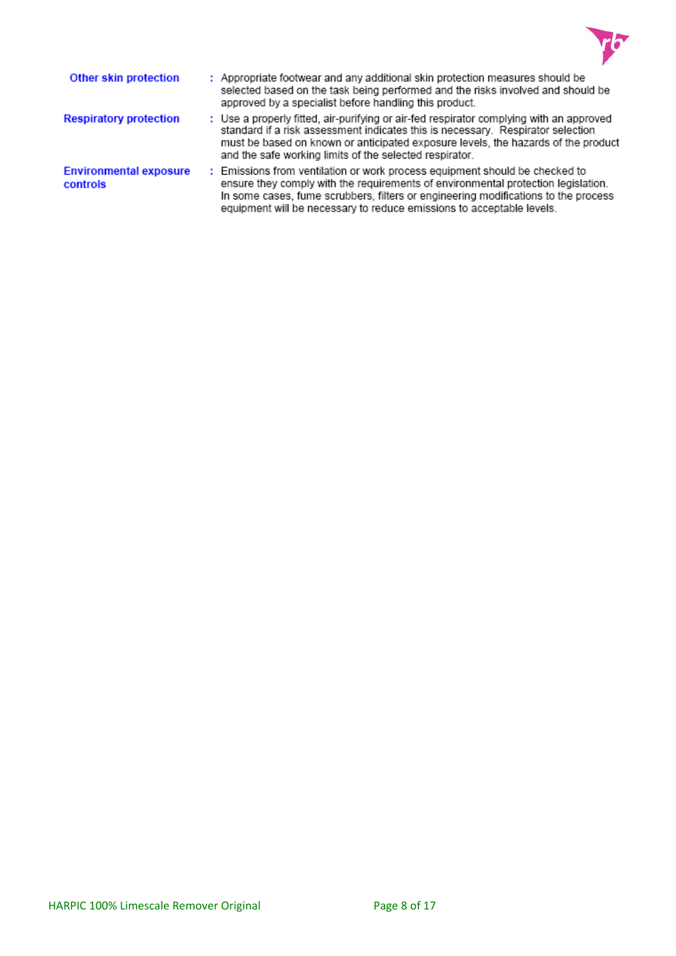

| Other skin protection                     | : Appropriate footwear and any additional skin protection measures should be<br>selected based on the task being performed and the risks involved and should be<br>approved by a specialist before handling this product.                                                                                                       |
|-------------------------------------------|---------------------------------------------------------------------------------------------------------------------------------------------------------------------------------------------------------------------------------------------------------------------------------------------------------------------------------|
| <b>Respiratory protection</b>             | : Use a properly fitted, air-purifying or air-fed respirator complying with an approved<br>standard if a risk assessment indicates this is necessary. Respirator selection<br>must be based on known or anticipated exposure levels, the hazards of the product<br>and the safe working limits of the selected respirator.      |
| <b>Environmental exposure</b><br>controls | : Emissions from ventilation or work process equipment should be checked to<br>ensure they comply with the requirements of environmental protection legislation.<br>In some cases, fume scrubbers, filters or engineering modifications to the process<br>equipment will be necessary to reduce emissions to acceptable levels. |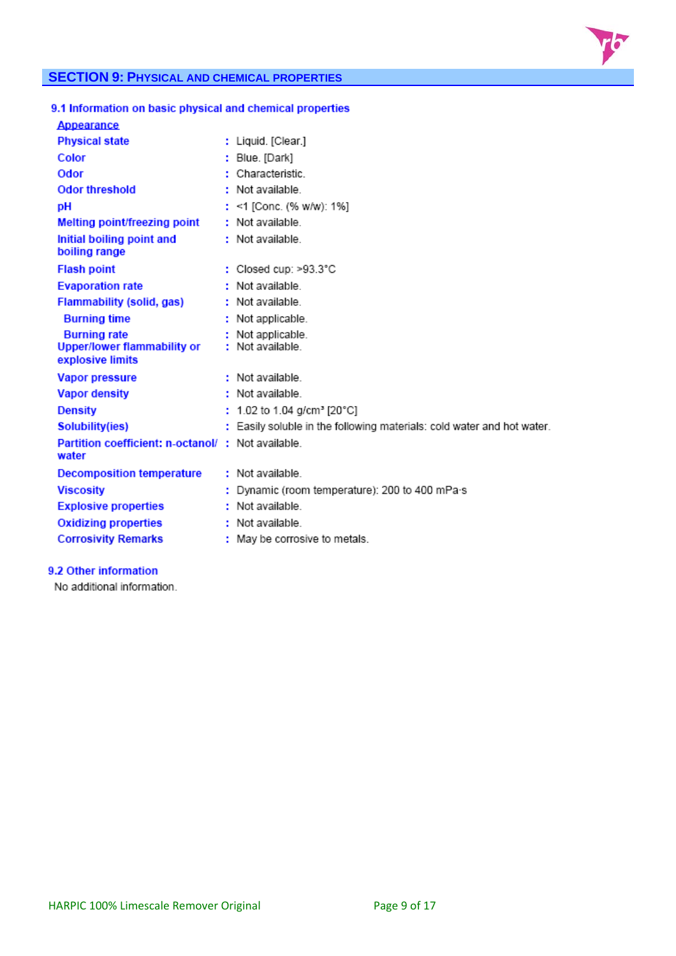

# **SECTION 9: PHYSICAL AND CHEMICAL PROPERTIES**

| 9.1 Information on basic physical and chemical properties |                                                                        |
|-----------------------------------------------------------|------------------------------------------------------------------------|
| Appearance                                                |                                                                        |
| <b>Physical state</b>                                     | : Liquid. [Clear.]                                                     |
| Color                                                     | : Blue. [Dark]                                                         |
| Odor                                                      | Characteristic                                                         |
| <b>Odor threshold</b>                                     | : Not available                                                        |
| pH                                                        | : <1 [Conc. (% w/w): 1%]                                               |
| Melting point/freezing point                              | : Not available                                                        |
| Initial boiling point and<br>boiling range                | : Not available                                                        |
| <b>Flash point</b>                                        | : Closed cup: >93.3°C                                                  |
| <b>Evaporation rate</b>                                   | : Not available                                                        |
| Flammability (solid, gas)                                 | : Not available                                                        |
| <b>Burning time</b>                                       | : Not applicable.                                                      |
| <b>Burning rate</b>                                       | Not applicable.                                                        |
| <b>Upper/lower flammability or</b><br>explosive limits    | : Not available.                                                       |
| <b>Vapor pressure</b>                                     | Not available                                                          |
| <b>Vapor density</b>                                      | : Not available                                                        |
| <b>Density</b>                                            | : 1.02 to 1.04 g/cm <sup>3</sup> [20°C]                                |
| Solubility(ies)                                           | : Easily soluble in the following materials: cold water and hot water. |
| Partition coefficient: n-octanol/<br>water                | : Not available.                                                       |
| <b>Decomposition temperature</b>                          | : Not available                                                        |
| <b>Viscosity</b>                                          | : Dynamic (room temperature): 200 to 400 mPa s                         |
| <b>Explosive properties</b>                               | : Not available.                                                       |
| <b>Oxidizing properties</b>                               | : Not available                                                        |
| <b>Corrosivity Remarks</b>                                | : May be corrosive to metals.                                          |

# 9.2 Other information

No additional information.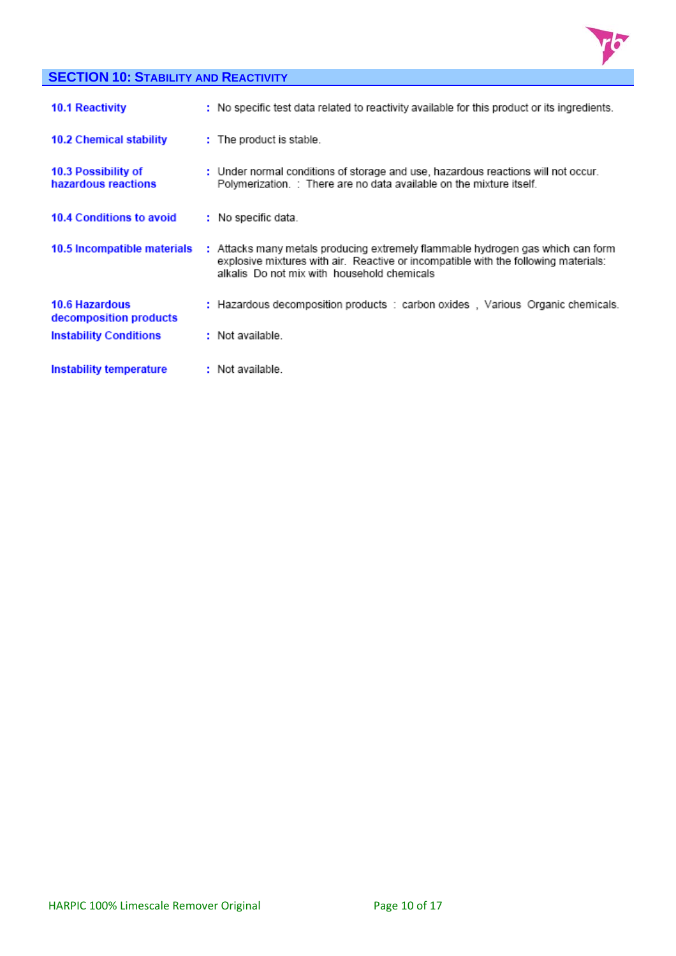

# **SECTION 10: STABILITY AND REACTIVITY**

| <b>10.1 Reactivity</b>                          | : No specific test data related to reactivity available for this product or its ingredients.                                                                                                                          |
|-------------------------------------------------|-----------------------------------------------------------------------------------------------------------------------------------------------------------------------------------------------------------------------|
| 10.2 Chemical stability                         | : The product is stable.                                                                                                                                                                                              |
| 10.3 Possibility of<br>hazardous reactions      | : Under normal conditions of storage and use, hazardous reactions will not occur.<br>Polymerization. : There are no data available on the mixture itself.                                                             |
| <b>10.4 Conditions to avoid</b>                 | : No specific data.                                                                                                                                                                                                   |
| 10.5 Incompatible materials                     | : Attacks many metals producing extremely flammable hydrogen gas which can form<br>explosive mixtures with air. Reactive or incompatible with the following materials:<br>alkalis Do not mix with household chemicals |
| <b>10.6 Hazardous</b><br>decomposition products | : Hazardous decomposition products : carbon oxides, Various Organic chemicals.                                                                                                                                        |
| <b>Instability Conditions</b>                   | : Not available.                                                                                                                                                                                                      |
| Instability temperature                         | : Not available.                                                                                                                                                                                                      |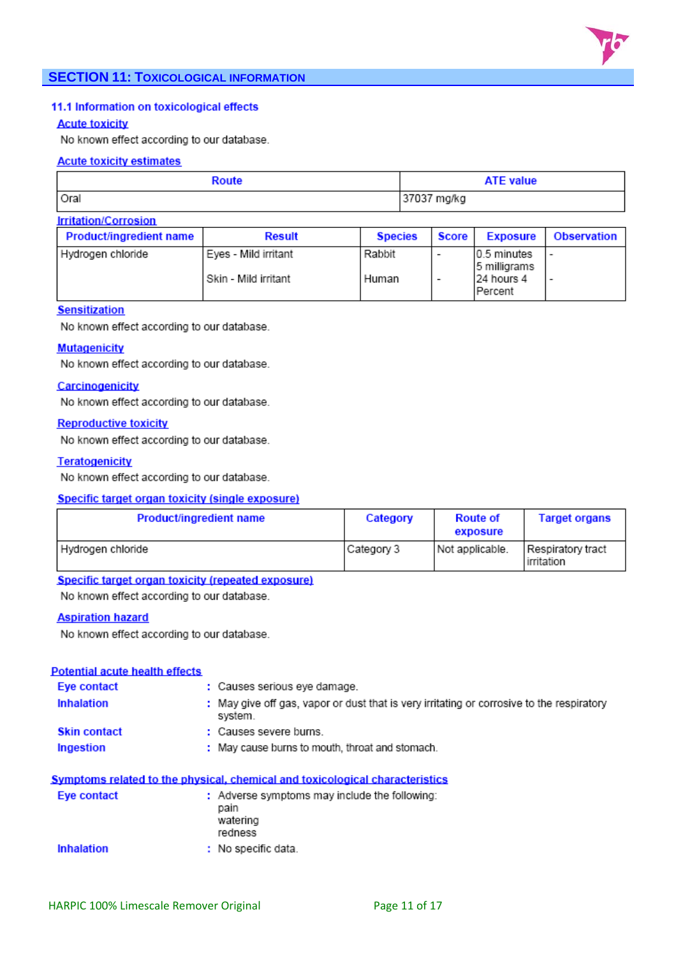

## 11.1 Information on toxicological effects

#### **Acute toxicity**

No known effect according to our database.

#### **Acute toxicity estimates**

| Route                       | <b>ATE value</b> |  |
|-----------------------------|------------------|--|
| Oral                        | 37037 mg/kg      |  |
| <b>Irritation/Corrosion</b> |                  |  |

| Product/ingredient name | <b>Result</b>          | <b>Species</b> | Score I                  | <b>Exposure</b>              | <b>Observation</b> |
|-------------------------|------------------------|----------------|--------------------------|------------------------------|--------------------|
| l Hydrogen chloride     | l Eves - Mild irritant | Rabbit         | $\overline{\phantom{a}}$ | 10.5 minutes<br>5 milligrams |                    |
|                         | l Skin - Mild irritant | Human          | $\overline{\phantom{a}}$ | 24 hours 4<br>IPercent       |                    |

#### **Sensitization**

No known effect according to our database.

#### **Mutagenicity**

No known effect according to our database.

#### Carcinogenicity

No known effect according to our database.

#### **Reproductive toxicity**

No known effect according to our database.

#### **Teratogenicity**

No known effect according to our database.

#### **Specific target organ toxicity (single exposure)**

| <b>Product/ingredient name</b> | Category   | <b>Route of</b><br>exposure | <b>Target organs</b>            |
|--------------------------------|------------|-----------------------------|---------------------------------|
| Hydrogen chloride              | Category 3 | Not applicable.             | Respiratory tract<br>irritation |

#### Specific target organ toxicity (repeated exposure)

No known effect according to our database.

#### **Aspiration hazard**

No known effect according to our database.

#### **Potential acute health effects**

| Eye contact         | : Causes serious eye damage.                                                                         |
|---------------------|------------------------------------------------------------------------------------------------------|
| Inhalation          | : May give off gas, vapor or dust that is very irritating or corrosive to the respiratory<br>system. |
| <b>Skin contact</b> | : Causes severe burns.                                                                               |
| Ingestion           | : May cause burns to mouth, throat and stomach.                                                      |

## Symptoms related to the physical, chemical and toxicological characteristics

| Eve contact | : Adverse symptoms may include the following:<br>pain<br>watering<br>redness |  |
|-------------|------------------------------------------------------------------------------|--|
| Inhalation  | : No specific data.                                                          |  |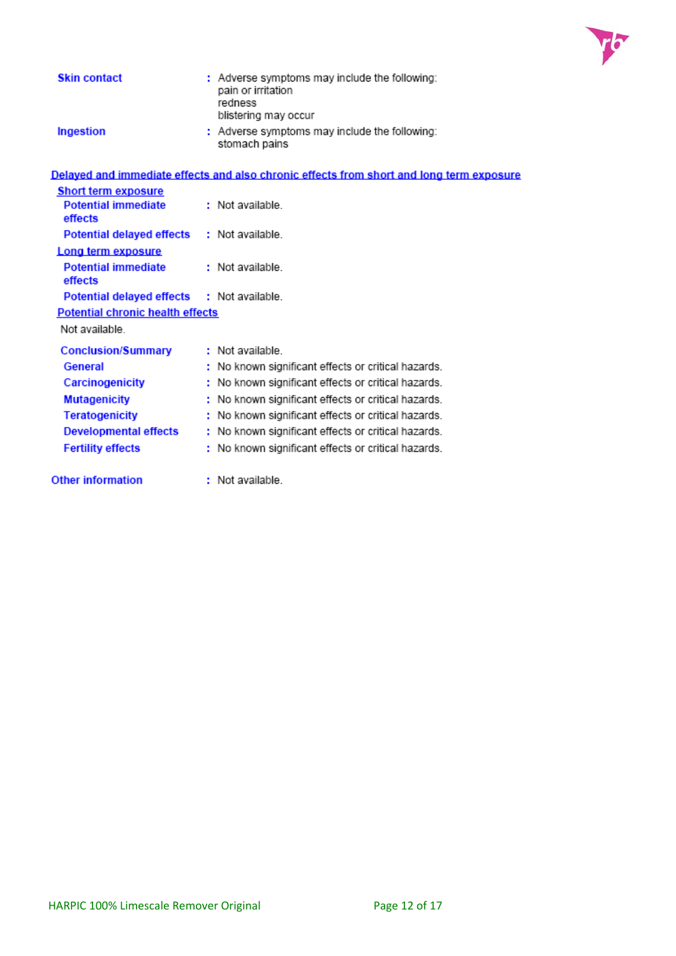

| <b>Skin contact</b>                     | : Adverse symptoms may include the following:<br>pain or irritation<br>redness<br>blistering may occur |
|-----------------------------------------|--------------------------------------------------------------------------------------------------------|
| Ingestion                               | : Adverse symptoms may include the following:<br>stomach pains                                         |
|                                         | Delayed and immediate effects and also chronic effects from short and long term exposure               |
| <b>Short term exposure</b>              |                                                                                                        |
| <b>Potential immediate</b><br>effects   | : Not available.                                                                                       |
| <b>Potential delayed effects</b>        | : Not available.                                                                                       |
| Long term exposure                      |                                                                                                        |
| <b>Potential immediate</b><br>effects   | : Not available                                                                                        |
| <b>Potential delayed effects</b>        | : Not available                                                                                        |
| <b>Potential chronic health effects</b> |                                                                                                        |
| Not available.                          |                                                                                                        |
| <b>Conclusion/Summary</b>               | : Not available                                                                                        |
| General                                 | : No known significant effects or critical hazards.                                                    |
| Carcinogenicity                         | No known significant effects or critical hazards.                                                      |
| <b>Mutagenicity</b>                     | No known significant effects or critical hazards.                                                      |
| <b>Teratogenicity</b>                   | : No known significant effects or critical hazards.                                                    |
| Developmental effects                   | : No known significant effects or critical hazards.                                                    |
| <b>Fertility effects</b>                | : No known significant effects or critical hazards.                                                    |
| <b>Other information</b>                | : Not available                                                                                        |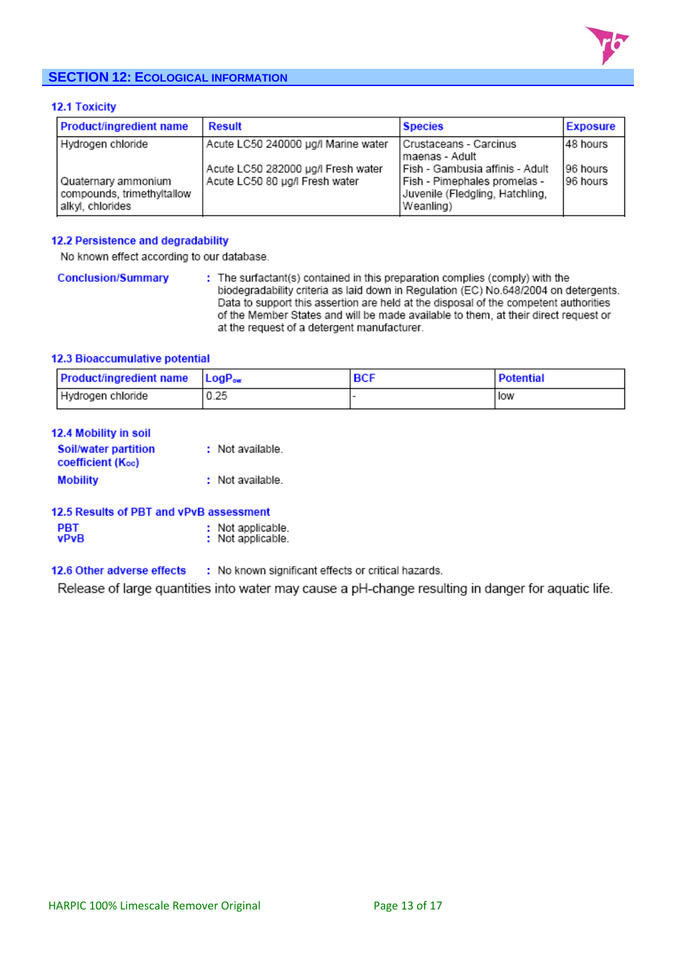

# **SECTION 12: ECOLOGICAL INFORMATION**

### **12.1 Toxicity**

| <b>Product/ingredient name</b>                                        | <b>Result</b>                                                        | <b>Species</b>                                                                                                      | <b>Exposure</b>      |
|-----------------------------------------------------------------------|----------------------------------------------------------------------|---------------------------------------------------------------------------------------------------------------------|----------------------|
| Hydrogen chloride                                                     | Acute LC50 240000 µg/l Marine water                                  | Crustaceans - Carcinus<br>l maenas - Adult                                                                          | 148 hours            |
| Quaternary ammonium<br>compounds, trimethyltallow<br>alkyl, chlorides | Acute LC50 282000 µg/l Fresh water<br>Acute LC50 80 µg/l Fresh water | l Fish - Gambusia affinis - Adult<br>  Fish - Pimephales promelas -<br>Juvenile (Fledgling, Hatchling,<br>Weanling) | 96 hours<br>96 hours |

#### 12.2 Persistence and degradability

No known effect according to our database.

**Conclusion/Summary** : The surfactant(s) contained in this preparation complies (comply) with the biodegradability criteria as laid down in Regulation (EC) No.648/2004 on detergents. Data to support this assertion are held at the disposal of the competent authorities of the Member States and will be made available to them, at their direct request or at the request of a detergent manufacturer.

## 12.3 Bioaccumulative potential

| <b>Product/ingredient name</b> LogP <sub>ow</sub> |      | <b>Potential</b> |
|---------------------------------------------------|------|------------------|
| Hydrogen chloride                                 | 0.25 | low              |

| <b>12.4 Mobility in soil</b> |  |  |
|------------------------------|--|--|
|                              |  |  |

| Soil/water partition     | : Not available. |
|--------------------------|------------------|
| <b>coefficient (Koc)</b> |                  |
| <b>Mobility</b>          | : Not available. |

| 12.5 Results of PBT and vPvB assessment |  |  |  |
|-----------------------------------------|--|--|--|
|-----------------------------------------|--|--|--|

| : Not applicable.<br>: Not applicable. |
|----------------------------------------|
|                                        |

12.6 Other adverse effects : No known significant effects or critical hazards.

Release of large quantities into water may cause a pH-change resulting in danger for aquatic life.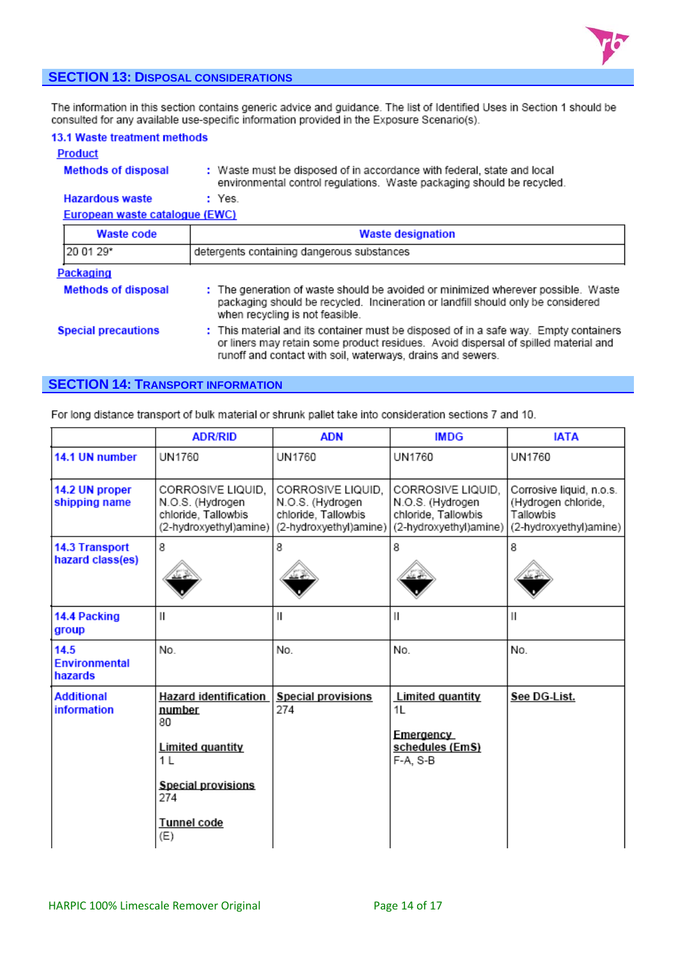

# **SECTION 13: DISPOSAL CONSIDERATIONS**

The information in this section contains generic advice and guidance. The list of Identified Uses in Section 1 should be consulted for any available use-specific information provided in the Exposure Scenario(s).

| 13.1 Waste treatment methods |  |
|------------------------------|--|
|------------------------------|--|

#### **Product**

#### **Methods of disposal** : Waste must be disposed of in accordance with federal, state and local environmental control regulations. Waste packaging should be recycled.

**Hazardous waste** : Yes. European waste catalogue (EWC)

| <b>Waste code</b>          | <b>Waste designation</b>                                                                                                                                                                                                                    |  |
|----------------------------|---------------------------------------------------------------------------------------------------------------------------------------------------------------------------------------------------------------------------------------------|--|
| 20 01 29*                  | detergents containing dangerous substances                                                                                                                                                                                                  |  |
| Packaging                  |                                                                                                                                                                                                                                             |  |
| <b>Methods of disposal</b> | : The generation of waste should be avoided or minimized wherever possible. Waste<br>packaging should be recycled. Incineration or landfill should only be considered<br>when recycling is not feasible.                                    |  |
| <b>Special precautions</b> | : This material and its container must be disposed of in a safe way. Empty containers<br>or liners may retain some product residues. Avoid dispersal of spilled material and<br>runoff and contact with soil, waterways, drains and sewers. |  |

# **SECTION 14: TRANSPORT INFORMATION**

For long distance transport of bulk material or shrunk pallet take into consideration sections 7 and 10.

|                                           | <b>ADR/RID</b>                                                                                                                                      | <b>ADN</b>                                                                             | <b>IMDG</b>                                                                            | <b>IATA</b>                                                                            |
|-------------------------------------------|-----------------------------------------------------------------------------------------------------------------------------------------------------|----------------------------------------------------------------------------------------|----------------------------------------------------------------------------------------|----------------------------------------------------------------------------------------|
| 14.1 UN number                            | UN1760                                                                                                                                              | UN1760                                                                                 | UN1760                                                                                 | UN1760                                                                                 |
| 14.2 UN proper<br>shipping name           | CORROSIVE LIQUID.<br>N.O.S. (Hydrogen<br>chloride, Tallowbis<br>(2-hydroxyethyl)amine)                                                              | CORROSIVE LIQUID.<br>N.O.S. (Hydrogen<br>chloride, Tallowbis<br>(2-hydroxyethyl)amine) | CORROSIVE LIQUID.<br>N.O.S. (Hydrogen<br>chloride, Tallowbis<br>(2-hydroxyethyl)amine) | Corrosive liquid, n.o.s.<br>(Hydrogen chloride,<br>Tallowbis<br>(2-hydroxyethyl)amine) |
| <b>14.3 Transport</b><br>hazard class(es) | 8                                                                                                                                                   | 8                                                                                      | 8                                                                                      | 8                                                                                      |
| 14.4 Packing<br>group                     | $\mathsf{II}$                                                                                                                                       | $\label{eq:1} \begin{array}{c} \vspace{0.05in} \Pi \end{array}$                        | Ш                                                                                      | Ш                                                                                      |
| 14.5<br><b>Environmental</b><br>hazards   | No.                                                                                                                                                 | No.                                                                                    | No.                                                                                    | No.                                                                                    |
| <b>Additional</b><br><b>information</b>   | <b>Hazard identification</b><br>number<br>80<br><b>Limited quantity</b><br>1 <sub>L</sub><br><b>Special provisions</b><br>274<br>Tunnel code<br>(E) | <b>Special provisions</b><br>274                                                       | <b>Limited quantity</b><br>1L<br>Emergency<br>schedules (EmS)<br>F-A, S-B              | See DG-List.                                                                           |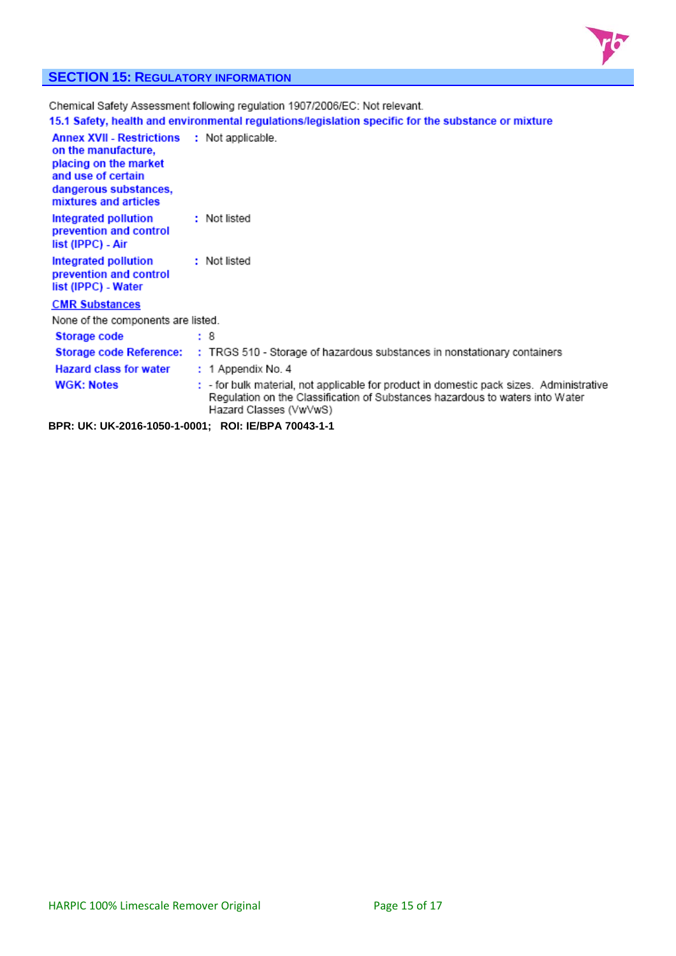

# **SECTION 15: REGULATORY INFORMATION**

|                                                                                                                                                          |  | Chemical Safety Assessment following regulation 1907/2006/EC: Not relevant.                                                                                                                         |
|----------------------------------------------------------------------------------------------------------------------------------------------------------|--|-----------------------------------------------------------------------------------------------------------------------------------------------------------------------------------------------------|
|                                                                                                                                                          |  | 15.1 Safety, health and environmental regulations/legislation specific for the substance or mixture                                                                                                 |
| <b>Annex XVII - Restrictions</b><br>on the manufacture,<br>placing on the market<br>and use of certain<br>dangerous substances,<br>mixtures and articles |  | : Not applicable.                                                                                                                                                                                   |
| Integrated pollution<br>prevention and control<br>list (IPPC) - Air                                                                                      |  | : Not listed                                                                                                                                                                                        |
| Integrated pollution<br>prevention and control<br>list (IPPC) - Water                                                                                    |  | : Not listed                                                                                                                                                                                        |
| <b>CMR Substances</b>                                                                                                                                    |  |                                                                                                                                                                                                     |
| None of the components are listed.                                                                                                                       |  |                                                                                                                                                                                                     |
| Storage code                                                                                                                                             |  | : 8                                                                                                                                                                                                 |
| <b>Storage code Reference:</b>                                                                                                                           |  | : TRGS 510 - Storage of hazardous substances in nonstationary containers                                                                                                                            |
| <b>Hazard class for water</b>                                                                                                                            |  | : 1 Appendix No. 4                                                                                                                                                                                  |
| <b>WGK: Notes</b>                                                                                                                                        |  | : - for bulk material, not applicable for product in domestic pack sizes. Administrative<br>Regulation on the Classification of Substances hazardous to waters into Water<br>Hazard Classes (VwVwS) |
| BPR: UK: UK-2016-1050-1-0001; ROI: IE/BPA 70043-1-1                                                                                                      |  |                                                                                                                                                                                                     |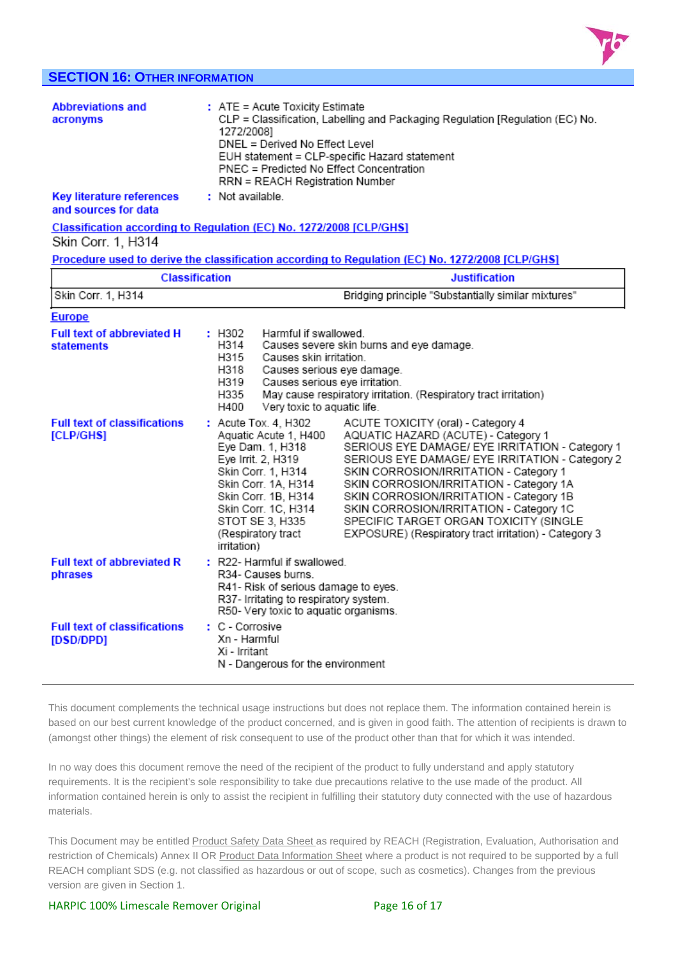

# **SECTION 16: OTHER INFORMATION**

| <b>Abbreviations and</b><br>acronyms<br><b>Key literature references</b>                                       | : ATE = Acute Toxicity Estimate<br>CLP = Classification, Labelling and Packaging Regulation [Regulation (EC) No.<br>1272/2008]<br>DNEL = Derived No Effect Level<br>EUH statement = CLP-specific Hazard statement<br>PNEC = Predicted No Effect Concentration<br>RRN = REACH Registration Number<br>: Not available. |                                                                                                                                                                                                                                                                                                                                                                                                                         |  |
|----------------------------------------------------------------------------------------------------------------|----------------------------------------------------------------------------------------------------------------------------------------------------------------------------------------------------------------------------------------------------------------------------------------------------------------------|-------------------------------------------------------------------------------------------------------------------------------------------------------------------------------------------------------------------------------------------------------------------------------------------------------------------------------------------------------------------------------------------------------------------------|--|
| and sources for data                                                                                           |                                                                                                                                                                                                                                                                                                                      |                                                                                                                                                                                                                                                                                                                                                                                                                         |  |
| Skin Corr. 1, H314                                                                                             | Classification according to Regulation (EC) No. 1272/2008 [CLP/GHS]                                                                                                                                                                                                                                                  |                                                                                                                                                                                                                                                                                                                                                                                                                         |  |
|                                                                                                                |                                                                                                                                                                                                                                                                                                                      | Procedure used to derive the classification according to Regulation (EC) No. 1272/2008 [CLP/GHS]                                                                                                                                                                                                                                                                                                                        |  |
|                                                                                                                | <b>Classification</b>                                                                                                                                                                                                                                                                                                | <b>Justification</b>                                                                                                                                                                                                                                                                                                                                                                                                    |  |
| Skin Corr. 1, H314                                                                                             |                                                                                                                                                                                                                                                                                                                      | Bridging principle "Substantially similar mixtures"                                                                                                                                                                                                                                                                                                                                                                     |  |
| <b>Europe</b><br><b>Full text of abbreviated H</b><br><b>statements</b><br><b>Full text of classifications</b> | : H302<br>Harmful if swallowed.<br>H314<br>H315<br>Causes skin irritation.<br>H318<br>Causes serious eye damage.<br>H319<br>Causes serious eye irritation.<br>H335<br>H400<br>Very toxic to aquatic life.<br>: Acute Tox. 4, H302                                                                                    | Causes severe skin burns and eye damage.<br>May cause respiratory irritation. (Respiratory tract irritation)<br>ACUTE TOXICITY (oral) - Category 4                                                                                                                                                                                                                                                                      |  |
| [CLP/GHS]                                                                                                      | Aquatic Acute 1, H400<br>Eye Dam. 1, H318<br>Eye Irrit. 2, H319<br>Skin Corr. 1, H314<br>Skin Corr. 1A, H314<br>Skin Corr. 1B, H314<br>Skin Corr. 1C, H314<br>STOT SE 3, H335<br>(Respiratory tract<br>irritation)                                                                                                   | AQUATIC HAZARD (ACUTE) - Category 1<br>SERIOUS EYE DAMAGE/ EYE IRRITATION - Category 1<br>SERIOUS EYE DAMAGE/ EYE IRRITATION - Category 2<br>SKIN CORROSION/IRRITATION - Category 1<br>SKIN CORROSION/IRRITATION - Category 1A<br>SKIN CORROSION/IRRITATION - Category 1B<br>SKIN CORROSION/IRRITATION - Category 1C<br>SPECIFIC TARGET ORGAN TOXICITY (SINGLE<br>EXPOSURE) (Respiratory tract irritation) - Category 3 |  |
| <b>Full text of abbreviated R</b><br>phrases                                                                   | R34- Causes burns.                                                                                                                                                                                                                                                                                                   | : R22- Harmful if swallowed.<br>R41- Risk of serious damage to eyes.<br>R37- Irritating to respiratory system.<br>R50- Very toxic to aquatic organisms.                                                                                                                                                                                                                                                                 |  |
| <b>Full text of classifications</b><br>[DSD/DPD]                                                               | : C - Corrosive<br>Xn - Harmful<br>Xi - Irritant                                                                                                                                                                                                                                                                     | N - Dangerous for the environment                                                                                                                                                                                                                                                                                                                                                                                       |  |

This document complements the technical usage instructions but does not replace them. The information contained herein is based on our best current knowledge of the product concerned, and is given in good faith. The attention of recipients is drawn to (amongst other things) the element of risk consequent to use of the product other than that for which it was intended.

In no way does this document remove the need of the recipient of the product to fully understand and apply statutory requirements. It is the recipient's sole responsibility to take due precautions relative to the use made of the product. All information contained herein is only to assist the recipient in fulfilling their statutory duty connected with the use of hazardous materials.

This Document may be entitled Product Safety Data Sheet as required by REACH (Registration, Evaluation, Authorisation and restriction of Chemicals) Annex II OR Product Data Information Sheet where a product is not required to be supported by a full REACH compliant SDS (e.g. not classified as hazardous or out of scope, such as cosmetics). Changes from the previous version are given in Section 1.

#### HARPIC 100% Limescale Remover Original **Bank 19 and 18 Page 16 of 17**